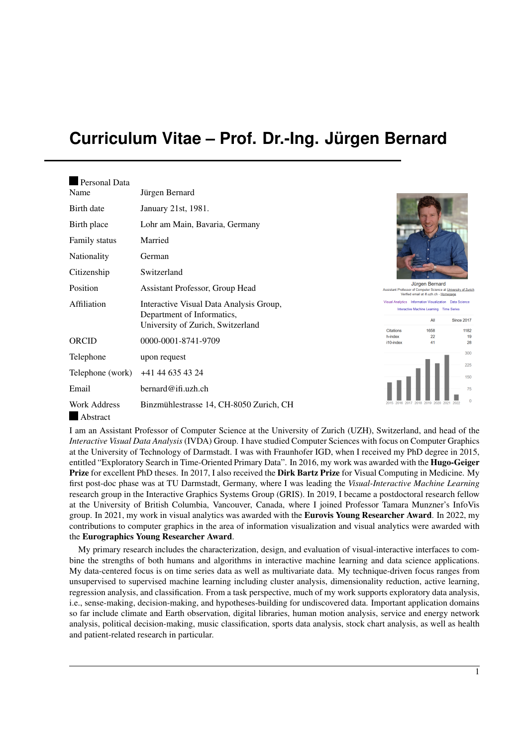# <span id="page-0-0"></span>**Curriculum Vitae – Prof. Dr.-Ing. Jürgen Bernard**

| Personal Data                    |                                                                                                            |
|----------------------------------|------------------------------------------------------------------------------------------------------------|
| Name                             | Jürgen Bernard                                                                                             |
| Birth date                       | January 21st, 1981.                                                                                        |
| Birth place                      | Lohr am Main, Bavaria, Germany                                                                             |
| <b>Family status</b>             | Married                                                                                                    |
| Nationality                      | German                                                                                                     |
| Citizenship                      | Switzerland                                                                                                |
| Position                         | Assistant Professor, Group Head                                                                            |
| Affiliation                      | Interactive Visual Data Analysis Group,<br>Department of Informatics,<br>University of Zurich, Switzerland |
| ORCID                            | 0000-0001-8741-9709                                                                                        |
| Telephone                        | upon request                                                                                               |
| Telephone (work)                 | +41 44 635 43 24                                                                                           |
| Email                            | bernard@ifi.uzh.ch                                                                                         |
| Work Address<br>$\Delta$ hetract | Binzmühlestrasse 14, CH-8050 Zurich, CH                                                                    |



alytics Information Visualization Data So Interactive Machine Learning Time S All Since 2017 Citations 1658 1182 h-index  $\overline{2}$ i10-index  $41$ 28



Abstract

I am an Assistant Professor of Computer Science at the University of Zurich (UZH), Switzerland, and head of the *Interactive Visual Data Analysis* (IVDA) Group. I have studied Computer Sciences with focus on Computer Graphics at the University of Technology of Darmstadt. I was with Fraunhofer IGD, when I received my PhD degree in 2015, entitled "Exploratory Search in Time-Oriented Primary Data". In 2016, my work was awarded with the Hugo-Geiger Prize for excellent PhD theses. In 2017, I also received the Dirk Bartz Prize for Visual Computing in Medicine. My first post-doc phase was at TU Darmstadt, Germany, where I was leading the *Visual-Interactive Machine Learning* research group in the Interactive Graphics Systems Group (GRIS). In 2019, I became a postdoctoral research fellow at the University of British Columbia, Vancouver, Canada, where I joined Professor Tamara Munzner's InfoVis group. In 2021, my work in visual analytics was awarded with the **Eurovis Young Researcher Award**. In 2022, my contributions to computer graphics in the area of information visualization and visual analytics were awarded with the Eurographics Young Researcher Award.

My primary research includes the characterization, design, and evaluation of visual-interactive interfaces to combine the strengths of both humans and algorithms in interactive machine learning and data science applications. My data-centered focus is on time series data as well as multivariate data. My technique-driven focus ranges from unsupervised to supervised machine learning including cluster analysis, dimensionality reduction, active learning, regression analysis, and classification. From a task perspective, much of my work supports exploratory data analysis, i.e., sense-making, decision-making, and hypotheses-building for undiscovered data. Important application domains so far include climate and Earth observation, digital libraries, human motion analysis, service and energy network analysis, political decision-making, music classification, sports data analysis, stock chart analysis, as well as health and patient-related research in particular.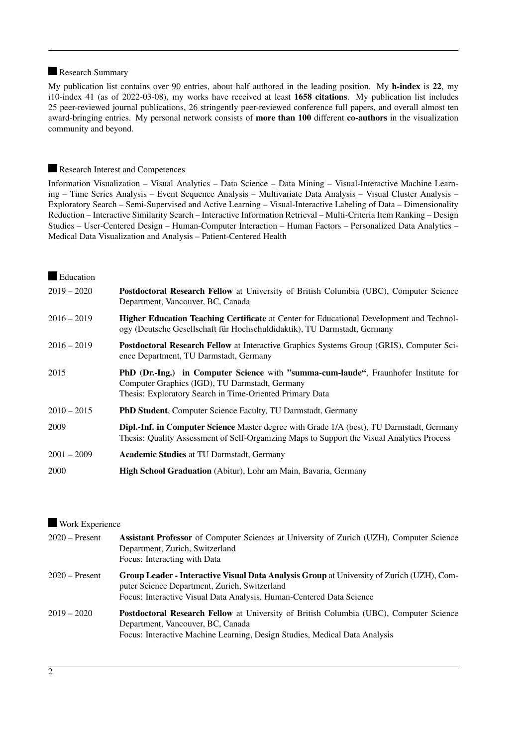### Research Summary

My publication list contains over 90 entries, about half authored in the leading position. My h-index is 22, my i10-index 41 (as of 2022-03-08), my works have received at least 1658 citations. My publication list includes 25 peer-reviewed journal publications, 26 stringently peer-reviewed conference full papers, and overall almost ten award-bringing entries. My personal network consists of more than 100 different co-authors in the visualization community and beyond.

### Research Interest and Competences

Information Visualization – Visual Analytics – Data Science – Data Mining – Visual-Interactive Machine Learning – Time Series Analysis – Event Sequence Analysis – Multivariate Data Analysis – Visual Cluster Analysis – Exploratory Search – Semi-Supervised and Active Learning – Visual-Interactive Labeling of Data – Dimensionality Reduction – Interactive Similarity Search – Interactive Information Retrieval – Multi-Criteria Item Ranking – Design Studies – User-Centered Design – Human-Computer Interaction – Human Factors – Personalized Data Analytics – Medical Data Visualization and Analysis – Patient-Centered Health

### **Education**

| $2019 - 2020$ | Postdoctoral Research Fellow at University of British Columbia (UBC), Computer Science<br>Department, Vancouver, BC, Canada                                                                       |
|---------------|---------------------------------------------------------------------------------------------------------------------------------------------------------------------------------------------------|
| $2016 - 2019$ | <b>Higher Education Teaching Certificate</b> at Center for Educational Development and Technol-<br>ogy (Deutsche Gesellschaft für Hochschuldidaktik), TU Darmstadt, Germany                       |
| $2016 - 2019$ | <b>Postdoctoral Research Fellow</b> at Interactive Graphics Systems Group (GRIS), Computer Sci-<br>ence Department, TU Darmstadt, Germany                                                         |
| 2015          | PhD (Dr.-Ing.) in Computer Science with "summa-cum-laude", Fraunhofer Institute for<br>Computer Graphics (IGD), TU Darmstadt, Germany<br>Thesis: Exploratory Search in Time-Oriented Primary Data |
| $2010 - 2015$ | <b>PhD Student, Computer Science Faculty, TU Darmstadt, Germany</b>                                                                                                                               |
| 2009          | <b>Dipl.-Inf. in Computer Science</b> Master degree with Grade 1/A (best), TU Darmstadt, Germany<br>Thesis: Quality Assessment of Self-Organizing Maps to Support the Visual Analytics Process    |
| $2001 - 2009$ | <b>Academic Studies at TU Darmstadt, Germany</b>                                                                                                                                                  |
| 2000          | <b>High School Graduation</b> (Abitur), Lohr am Main, Bavaria, Germany                                                                                                                            |

### Work Experience

| $2020 -$ Present | <b>Assistant Professor</b> of Computer Sciences at University of Zurich (UZH), Computer Science<br>Department, Zurich, Switzerland<br>Focus: Interacting with Data                                                        |
|------------------|---------------------------------------------------------------------------------------------------------------------------------------------------------------------------------------------------------------------------|
| $2020 -$ Present | <b>Group Leader - Interactive Visual Data Analysis Group</b> at University of Zurich (UZH), Com-<br>puter Science Department, Zurich, Switzerland<br>Focus: Interactive Visual Data Analysis, Human-Centered Data Science |
| $2019 - 2020$    | <b>Postdoctoral Research Fellow</b> at University of British Columbia (UBC), Computer Science<br>Department, Vancouver, BC, Canada<br>Focus: Interactive Machine Learning, Design Studies, Medical Data Analysis          |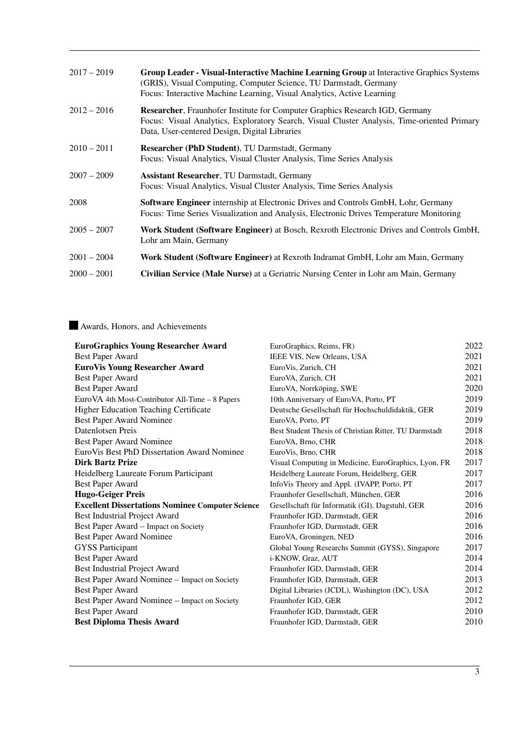| $2017 - 2019$ | Group Leader - Visual-Interactive Machine Learning Group at Interactive Graphics Systems<br>(GRIS), Visual Computing, Computer Science, TU Darmstadt, Germany<br>Focus: Interactive Machine Learning, Visual Analytics, Active Learning |
|---------------|-----------------------------------------------------------------------------------------------------------------------------------------------------------------------------------------------------------------------------------------|
| $2012 - 2016$ | <b>Researcher, Fraunhofer Institute for Computer Graphics Research IGD, Germany</b><br>Focus: Visual Analytics, Exploratory Search, Visual Cluster Analysis, Time-oriented Primary<br>Data, User-centered Design, Digital Libraries     |
| $2010 - 2011$ | <b>Researcher (PhD Student), TU Darmstadt, Germany</b><br>Focus: Visual Analytics, Visual Cluster Analysis, Time Series Analysis                                                                                                        |
| $2007 - 2009$ | <b>Assistant Researcher, TU Darmstadt, Germany</b><br>Focus: Visual Analytics, Visual Cluster Analysis, Time Series Analysis                                                                                                            |
| 2008          | <b>Software Engineer</b> internship at Electronic Drives and Controls GmbH, Lohr, Germany<br>Focus: Time Series Visualization and Analysis, Electronic Drives Temperature Monitoring                                                    |
| $2005 - 2007$ | <b>Work Student (Software Engineer)</b> at Bosch, Rexroth Electronic Drives and Controls GmbH,<br>Lohr am Main, Germany                                                                                                                 |
| $2001 - 2004$ | <b>Work Student (Software Engineer)</b> at Rexroth Indramat GmbH, Lohr am Main, Germany                                                                                                                                                 |
| $2000 - 2001$ | Civilian Service (Male Nurse) at a Geriatric Nursing Center in Lohr am Main, Germany                                                                                                                                                    |

### Awards, Honors, and Achievements

| <b>EuroGraphics Young Researcher Award</b>              | EuroGraphics, Reims, FR)                              | 2022 |
|---------------------------------------------------------|-------------------------------------------------------|------|
| Best Paper Award                                        | IEEE VIS, New Orleans, USA                            | 2021 |
| <b>EuroVis Young Researcher Award</b>                   | EuroVis, Zurich, CH                                   | 2021 |
| <b>Best Paper Award</b>                                 | EuroVA, Zurich, CH                                    | 2021 |
| <b>Best Paper Award</b>                                 | EuroVA, Norrköping, SWE                               | 2020 |
| EuroVA 4th Most-Contributor All-Time – 8 Papers         | 10th Anniversary of EuroVA, Porto, PT                 | 2019 |
| <b>Higher Education Teaching Certificate</b>            | Deutsche Gesellschaft für Hochschuldidaktik, GER      | 2019 |
| Best Paper Award Nominee                                | EuroVA, Porto, PT                                     | 2019 |
| Datenlotsen Preis                                       | Best Student Thesis of Christian Ritter, TU Darmstadt | 2018 |
| Best Paper Award Nominee                                | EuroVA, Brno, CHR                                     | 2018 |
| EuroVis Best PhD Dissertation Award Nominee             | EuroVis, Brno, CHR                                    | 2018 |
| <b>Dirk Bartz Prize</b>                                 | Visual Computing in Medicine, EuroGraphics, Lyon, FR  | 2017 |
| Heidelberg Laureate Forum Participant                   | Heidelberg Laureate Forum, Heidelberg, GER            | 2017 |
| <b>Best Paper Award</b>                                 | InfoVis Theory and Appl. (IVAPP, Porto, PT            | 2017 |
| <b>Hugo-Geiger Preis</b>                                | Fraunhofer Gesellschaft, München, GER                 | 2016 |
| <b>Excellent Dissertations Nominee Computer Science</b> | Gesellschaft für Informatik (GI), Dagstuhl, GER       | 2016 |
| Best Industrial Project Award                           | Fraunhofer IGD, Darmstadt, GER                        | 2016 |
| Best Paper Award - Impact on Society                    | Fraunhofer IGD, Darmstadt, GER                        | 2016 |
| Best Paper Award Nominee                                | EuroVA, Groningen, NED                                | 2016 |
| <b>GYSS Participant</b>                                 | Global Young Researchs Summit (GYSS), Singapore       | 2017 |
| <b>Best Paper Award</b>                                 | i-KNOW, Graz, AUT                                     | 2014 |
| Best Industrial Project Award                           | Fraunhofer IGD, Darmstadt, GER                        | 2014 |
| Best Paper Award Nominee – Impact on Society            | Fraunhofer IGD, Darmstadt, GER                        | 2013 |
| Best Paper Award                                        | Digital Libraries (JCDL), Washington (DC), USA        | 2012 |
| Best Paper Award Nominee – Impact on Society            | Fraunhofer IGD, GER                                   | 2012 |
| <b>Best Paper Award</b>                                 | Fraunhofer IGD, Darmstadt, GER                        | 2010 |
| <b>Best Diploma Thesis Award</b>                        | Fraunhofer IGD, Darmstadt, GER                        | 2010 |
|                                                         |                                                       |      |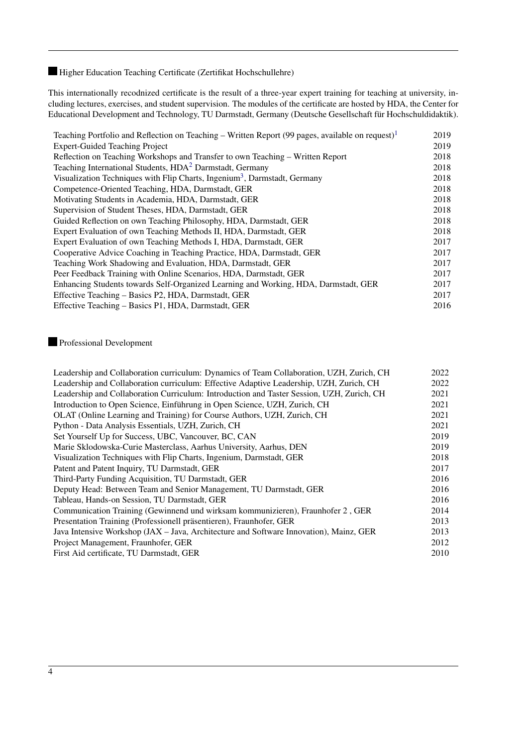### Higher Education Teaching Certificate (Zertifikat Hochschullehre)

This internationally recodnized certificate is the result of a three-year expert training for teaching at university, including lectures, exercises, and student supervision. The modules of the certificate are hosted by HDA, the Center for Educational Development and Technology, TU Darmstadt, Germany (Deutsche Gesellschaft für Hochschuldidaktik).

| Teaching Portfolio and Reflection on Teaching – Written Report (99 pages, available on request) <sup>1</sup> | 2019 |
|--------------------------------------------------------------------------------------------------------------|------|
| <b>Expert-Guided Teaching Project</b>                                                                        | 2019 |
| Reflection on Teaching Workshops and Transfer to own Teaching – Written Report                               | 2018 |
| Teaching International Students, HDA <sup>2</sup> Darmstadt, Germany                                         | 2018 |
| Visualization Techniques with Flip Charts, Ingenium <sup>3</sup> , Darmstadt, Germany                        | 2018 |
| Competence-Oriented Teaching, HDA, Darmstadt, GER                                                            | 2018 |
| Motivating Students in Academia, HDA, Darmstadt, GER                                                         | 2018 |
| Supervision of Student Theses, HDA, Darmstadt, GER                                                           | 2018 |
| Guided Reflection on own Teaching Philosophy, HDA, Darmstadt, GER                                            | 2018 |
| Expert Evaluation of own Teaching Methods II, HDA, Darmstadt, GER                                            | 2018 |
| Expert Evaluation of own Teaching Methods I, HDA, Darmstadt, GER                                             | 2017 |
| Cooperative Advice Coaching in Teaching Practice, HDA, Darmstadt, GER                                        | 2017 |
| Teaching Work Shadowing and Evaluation, HDA, Darmstadt, GER                                                  | 2017 |
| Peer Feedback Training with Online Scenarios, HDA, Darmstadt, GER                                            | 2017 |
| Enhancing Students towards Self-Organized Learning and Working, HDA, Darmstadt, GER                          | 2017 |
| Effective Teaching – Basics P2, HDA, Darmstadt, GER                                                          | 2017 |
| Effective Teaching – Basics P1, HDA, Darmstadt, GER                                                          | 2016 |

### Professional Development

| Leadership and Collaboration curriculum: Dynamics of Team Collaboration, UZH, Zurich, CH  | 2022 |
|-------------------------------------------------------------------------------------------|------|
| Leadership and Collaboration curriculum: Effective Adaptive Leadership, UZH, Zurich, CH   | 2022 |
| Leadership and Collaboration Curriculum: Introduction and Taster Session, UZH, Zurich, CH | 2021 |
| Introduction to Open Science, Einführung in Open Science, UZH, Zurich, CH                 | 2021 |
| OLAT (Online Learning and Training) for Course Authors, UZH, Zurich, CH                   | 2021 |
| Python - Data Analysis Essentials, UZH, Zurich, CH                                        | 2021 |
| Set Yourself Up for Success, UBC, Vancouver, BC, CAN                                      | 2019 |
| Marie Sklodowska-Curie Masterclass, Aarhus University, Aarhus, DEN                        | 2019 |
| Visualization Techniques with Flip Charts, Ingenium, Darmstadt, GER                       | 2018 |
| Patent and Patent Inquiry, TU Darmstadt, GER                                              | 2017 |
| Third-Party Funding Acquisition, TU Darmstadt, GER                                        | 2016 |
| Deputy Head: Between Team and Senior Management, TU Darmstadt, GER                        | 2016 |
| Tableau, Hands-on Session, TU Darmstadt, GER                                              | 2016 |
| Communication Training (Gewinnend und wirksam kommunizieren), Fraunhofer 2, GER           | 2014 |
| Presentation Training (Professionell präsentieren), Fraunhofer, GER                       | 2013 |
| Java Intensive Workshop (JAX – Java, Architecture and Software Innovation), Mainz, GER    | 2013 |
| Project Management, Fraunhofer, GER                                                       | 2012 |
| First Aid certificate, TU Darmstadt, GER                                                  | 2010 |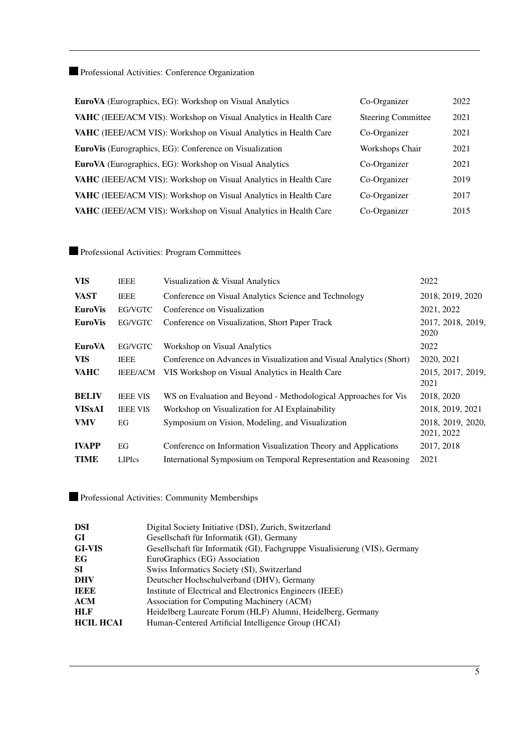Professional Activities: Conference Organization

| EuroVA (Eurographics, EG): Workshop on Visual Analytics                 | Co-Organizer              | 2022 |
|-------------------------------------------------------------------------|---------------------------|------|
| VAHC (IEEE/ACM VIS): Workshop on Visual Analytics in Health Care        | <b>Steering Committee</b> | 2021 |
| VAHC (IEEE/ACM VIS): Workshop on Visual Analytics in Health Care        | Co-Organizer              | 2021 |
| <b>EuroVis</b> (Eurographics, EG): Conference on Visualization          | Workshops Chair           | 2021 |
| <b>EuroVA</b> (Eurographics, EG): Workshop on Visual Analytics          | Co-Organizer              | 2021 |
| <b>VAHC</b> (IEEE/ACM VIS): Workshop on Visual Analytics in Health Care | Co-Organizer              | 2019 |
| <b>VAHC</b> (IEEE/ACM VIS): Workshop on Visual Analytics in Health Care | Co-Organizer              | 2017 |
| VAHC (IEEE/ACM VIS): Workshop on Visual Analytics in Health Care        | Co-Organizer              | 2015 |

Professional Activities: Program Committees

| <b>VIS</b>     | <b>IEEE</b>     | Visualization & Visual Analytics                                     | 2022                            |
|----------------|-----------------|----------------------------------------------------------------------|---------------------------------|
| <b>VAST</b>    | <b>IEEE</b>     | Conference on Visual Analytics Science and Technology                | 2018, 2019, 2020                |
| <b>EuroVis</b> | EG/VGTC         | Conference on Visualization                                          | 2021, 2022                      |
| <b>EuroVis</b> | EG/VGTC         | Conference on Visualization, Short Paper Track                       | 2017, 2018, 2019,<br>2020       |
| <b>EuroVA</b>  | EG/VGTC         | Workshop on Visual Analytics                                         | 2022                            |
| <b>VIS</b>     | <b>IEEE</b>     | Conference on Advances in Visualization and Visual Analytics (Short) | 2020, 2021                      |
| <b>VAHC</b>    | <b>IEEE/ACM</b> | VIS Workshop on Visual Analytics in Health Care                      | 2015, 2017, 2019,<br>2021       |
| <b>BELIV</b>   | <b>IEEE VIS</b> | WS on Evaluation and Beyond - Methodological Approaches for Vis      | 2018, 2020                      |
| <b>VISxAI</b>  | <b>IEEE VIS</b> | Workshop on Visualization for AI Explainability                      | 2018, 2019, 2021                |
| <b>VMV</b>     | EG              | Symposium on Vision, Modeling, and Visualization                     | 2018, 2019, 2020,<br>2021, 2022 |
| <b>IVAPP</b>   | EG              | Conference on Information Visualization Theory and Applications      | 2017, 2018                      |
| <b>TIME</b>    | <b>LIPIcs</b>   | International Symposium on Temporal Representation and Reasoning     | 2021                            |

Professional Activities: Community Memberships

| <b>DSI</b>       | Digital Society Initiative (DSI), Zurich, Switzerland                      |
|------------------|----------------------------------------------------------------------------|
| GI               | Gesellschaft für Informatik (GI), Germany                                  |
| <b>GI-VIS</b>    | Gesellschaft für Informatik (GI), Fachgruppe Visualisierung (VIS), Germany |
| EG               | EuroGraphics (EG) Association                                              |
| <b>SI</b>        | Swiss Informatics Society (SI), Switzerland                                |
| <b>DHV</b>       | Deutscher Hochschulverband (DHV), Germany                                  |
| IEEE             | Institute of Electrical and Electronics Engineers (IEEE)                   |
| <b>ACM</b>       | Association for Computing Machinery (ACM)                                  |
| <b>HLF</b>       | Heidelberg Laureate Forum (HLF) Alumni, Heidelberg, Germany                |
| <b>HCIL HCAI</b> | Human-Centered Artificial Intelligence Group (HCAI)                        |
|                  |                                                                            |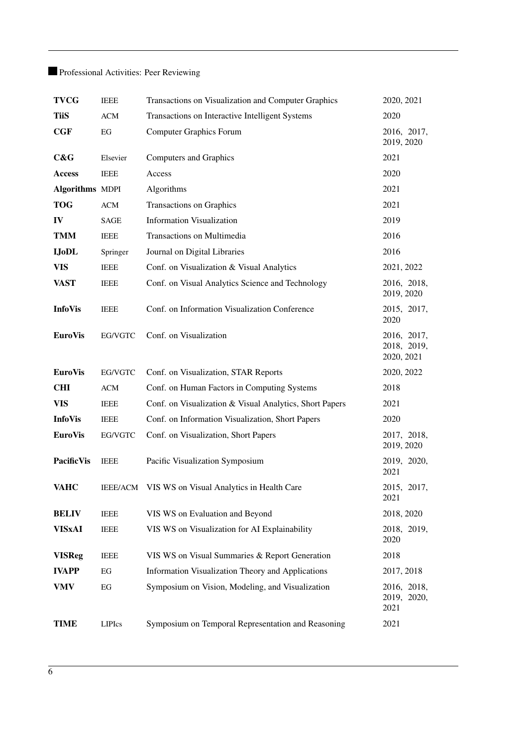# Professional Activities: Peer Reviewing

| <b>TVCG</b>            | <b>IEEE</b> | Transactions on Visualization and Computer Graphics     | 2020, 2021                               |
|------------------------|-------------|---------------------------------------------------------|------------------------------------------|
| <b>TiiS</b>            | <b>ACM</b>  | Transactions on Interactive Intelligent Systems         | 2020                                     |
| CGF                    | EG          | <b>Computer Graphics Forum</b>                          | 2016, 2017,<br>2019, 2020                |
| C&G                    | Elsevier    | Computers and Graphics                                  | 2021                                     |
| Access                 | <b>IEEE</b> | Access                                                  | 2020                                     |
| <b>Algorithms MDPI</b> |             | Algorithms                                              | 2021                                     |
| <b>TOG</b>             | ACM         | Transactions on Graphics                                | 2021                                     |
| IV                     | <b>SAGE</b> | <b>Information Visualization</b>                        | 2019                                     |
| <b>TMM</b>             | <b>IEEE</b> | Transactions on Multimedia                              | 2016                                     |
| <b>IJoDL</b>           | Springer    | Journal on Digital Libraries                            | 2016                                     |
| <b>VIS</b>             | <b>IEEE</b> | Conf. on Visualization & Visual Analytics               | 2021, 2022                               |
| <b>VAST</b>            | <b>IEEE</b> | Conf. on Visual Analytics Science and Technology        | 2016, 2018,<br>2019, 2020                |
| <b>InfoVis</b>         | <b>IEEE</b> | Conf. on Information Visualization Conference           | 2015, 2017,<br>2020                      |
| <b>EuroVis</b>         | EG/VGTC     | Conf. on Visualization                                  | 2016, 2017,<br>2018, 2019,<br>2020, 2021 |
| <b>EuroVis</b>         | EG/VGTC     | Conf. on Visualization, STAR Reports                    | 2020, 2022                               |
| <b>CHI</b>             | <b>ACM</b>  | Conf. on Human Factors in Computing Systems             | 2018                                     |
| <b>VIS</b>             | <b>IEEE</b> | Conf. on Visualization & Visual Analytics, Short Papers | 2021                                     |
| <b>InfoVis</b>         | <b>IEEE</b> | Conf. on Information Visualization, Short Papers        | 2020                                     |
| <b>EuroVis</b>         | EG/VGTC     | Conf. on Visualization, Short Papers                    | 2017, 2018,<br>2019, 2020                |
| <b>PacificVis</b>      | <b>IEEE</b> | Pacific Visualization Symposium                         | 2019, 2020,<br>2021                      |
| <b>VAHC</b>            |             | IEEE/ACM VIS WS on Visual Analytics in Health Care      | 2015, 2017,<br>2021                      |
| <b>BELIV</b>           | <b>IEEE</b> | VIS WS on Evaluation and Beyond                         | 2018, 2020                               |
| <b>VISxAI</b>          | <b>IEEE</b> | VIS WS on Visualization for AI Explainability           | 2018, 2019,<br>2020                      |
| <b>VISReg</b>          | <b>IEEE</b> | VIS WS on Visual Summaries & Report Generation          | 2018                                     |
| <b>IVAPP</b>           | EG          | Information Visualization Theory and Applications       | 2017, 2018                               |
| <b>VMV</b>             | EG          | Symposium on Vision, Modeling, and Visualization        | 2016, 2018,<br>2019, 2020,               |
|                        |             |                                                         | 2021                                     |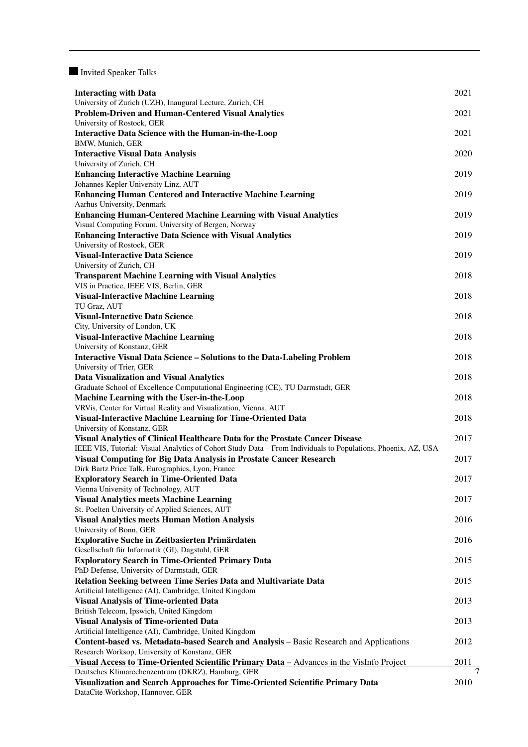Invited Speaker Talks

| <b>Interacting with Data</b>                                                                                  | 2021 |
|---------------------------------------------------------------------------------------------------------------|------|
| University of Zurich (UZH), Inaugural Lecture, Zurich, CH                                                     |      |
| <b>Problem-Driven and Human-Centered Visual Analytics</b>                                                     | 2021 |
| University of Rostock, GER                                                                                    |      |
| <b>Interactive Data Science with the Human-in-the-Loop</b>                                                    | 2021 |
| BMW, Munich, GER                                                                                              |      |
| <b>Interactive Visual Data Analysis</b>                                                                       | 2020 |
| University of Zurich, CH<br><b>Enhancing Interactive Machine Learning</b>                                     | 2019 |
| Johannes Kepler University Linz, AUT                                                                          |      |
| <b>Enhancing Human Centered and Interactive Machine Learning</b>                                              | 2019 |
| Aarhus University, Denmark                                                                                    |      |
| <b>Enhancing Human-Centered Machine Learning with Visual Analytics</b>                                        | 2019 |
| Visual Computing Forum, University of Bergen, Norway                                                          |      |
| <b>Enhancing Interactive Data Science with Visual Analytics</b>                                               | 2019 |
| University of Rostock, GER                                                                                    |      |
| <b>Visual-Interactive Data Science</b>                                                                        | 2019 |
| University of Zurich, CH<br><b>Transparent Machine Learning with Visual Analytics</b>                         | 2018 |
| VIS in Practice, IEEE VIS, Berlin, GER                                                                        |      |
| <b>Visual-Interactive Machine Learning</b>                                                                    | 2018 |
| TU Graz, AUT                                                                                                  |      |
| <b>Visual-Interactive Data Science</b>                                                                        | 2018 |
| City, University of London, UK                                                                                |      |
| <b>Visual-Interactive Machine Learning</b>                                                                    | 2018 |
| University of Konstanz, GER                                                                                   |      |
| Interactive Visual Data Science - Solutions to the Data-Labeling Problem<br>University of Trier, GER          | 2018 |
| <b>Data Visualization and Visual Analytics</b>                                                                | 2018 |
| Graduate School of Excellence Computational Engineering (CE), TU Darmstadt, GER                               |      |
| Machine Learning with the User-in-the-Loop                                                                    | 2018 |
| VRVis, Center for Virtual Reality and Visualization, Vienna, AUT                                              |      |
| Visual-Interactive Machine Learning for Time-Oriented Data                                                    | 2018 |
| University of Konstanz, GER<br>Visual Analytics of Clinical Healthcare Data for the Prostate Cancer Disease   | 2017 |
| IEEE VIS, Tutorial: Visual Analytics of Cohort Study Data - From Individuals to Populations, Phoenix, AZ, USA |      |
| Visual Computing for Big Data Analysis in Prostate Cancer Research                                            | 2017 |
| Dirk Bartz Price Talk, Eurographics, Lyon, France                                                             |      |
| <b>Exploratory Search in Time-Oriented Data</b>                                                               | 2017 |
| Vienna University of Technology, AUT                                                                          |      |
| <b>Visual Analytics meets Machine Learning</b>                                                                | 2017 |
| St. Poelten University of Applied Sciences, AUT                                                               |      |
| <b>Visual Analytics meets Human Motion Analysis</b><br>University of Bonn, GER                                | 2016 |
| <b>Explorative Suche in Zeitbasierten Primärdaten</b>                                                         | 2016 |
| Gesellschaft für Informatik (GI), Dagstuhl, GER                                                               |      |
| <b>Exploratory Search in Time-Oriented Primary Data</b>                                                       | 2015 |
| PhD Defense, University of Darmstadt, GER                                                                     |      |
| Relation Seeking between Time Series Data and Multivariate Data                                               | 2015 |
| Artificial Intelligence (AI), Cambridge, United Kingdom                                                       |      |
| <b>Visual Analysis of Time-oriented Data</b>                                                                  | 2013 |
| British Telecom, Ipswich, United Kingdom<br><b>Visual Analysis of Time-oriented Data</b>                      | 2013 |
| Artificial Intelligence (AI), Cambridge, United Kingdom                                                       |      |
| <b>Content-based vs. Metadata-based Search and Analysis – Basic Research and Applications</b>                 | 2012 |
| Research Worksop, University of Konstanz, GER                                                                 |      |
| Visual Access to Time-Oriented Scientific Primary Data – Advances in the VisInfo Project                      | 2011 |
| Deutsches Klimarechenzentrum (DKRZ), Hamburg, GER                                                             | 7    |
| Visualization and Search Approaches for Time-Oriented Scientific Primary Data                                 | 2010 |
| DataCite Workshop, Hannover, GER                                                                              |      |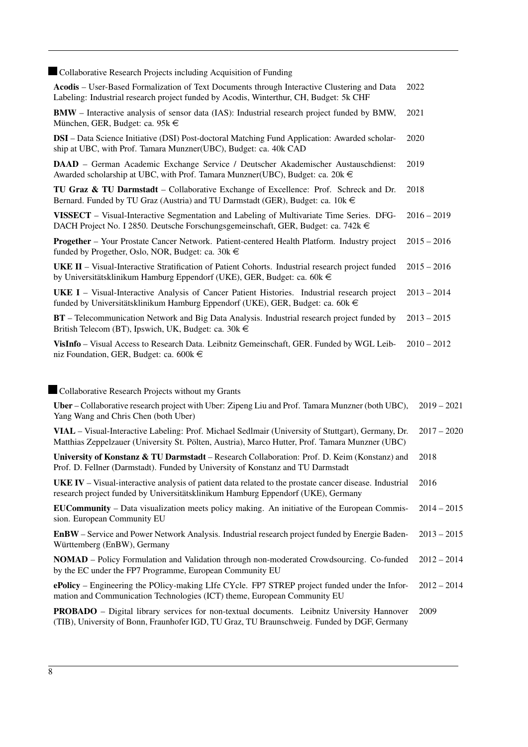Collaborative Research Projects including Acquisition of Funding

| Conadorative Research Projects including Acquisition of Funding                                                                                                                                       |      |               |
|-------------------------------------------------------------------------------------------------------------------------------------------------------------------------------------------------------|------|---------------|
| Acodis – User-Based Formalization of Text Documents through Interactive Clustering and Data<br>Labeling: Industrial research project funded by Acodis, Winterthur, CH, Budget: 5k CHF                 | 2022 |               |
| <b>BMW</b> – Interactive analysis of sensor data (IAS): Industrial research project funded by BMW,<br>München, GER, Budget: ca. $95k \in$                                                             | 2021 |               |
| DSI - Data Science Initiative (DSI) Post-doctoral Matching Fund Application: Awarded scholar-<br>ship at UBC, with Prof. Tamara Munzner(UBC), Budget: ca. 40k CAD                                     | 2020 |               |
| DAAD - German Academic Exchange Service / Deutscher Akademischer Austauschdienst:<br>Awarded scholarship at UBC, with Prof. Tamara Munzner(UBC), Budget: ca. 20k €                                    | 2019 |               |
| TU Graz & TU Darmstadt – Collaborative Exchange of Excellence: Prof. Schreck and Dr.<br>Bernard. Funded by TU Graz (Austria) and TU Darmstadt (GER), Budget: ca. 10k €                                | 2018 |               |
| VISSECT - Visual-Interactive Segmentation and Labeling of Multivariate Time Series. DFG-<br>DACH Project No. I 2850. Deutsche Forschungsgemeinschaft, GER, Budget: ca. 742k €                         |      | $2016 - 2019$ |
| Progether - Your Prostate Cancer Network. Patient-centered Health Platform. Industry project<br>funded by Progether, Oslo, NOR, Budget: ca. $30k \in$                                                 |      | $2015 - 2016$ |
| <b>UKE II</b> – Visual-Interactive Stratification of Patient Cohorts. Industrial research project funded<br>by Universitätsklinikum Hamburg Eppendorf (UKE), GER, Budget: ca. 60k €                   |      | $2015 - 2016$ |
| <b>UKE I</b> – Visual-Interactive Analysis of Cancer Patient Histories. Industrial research project<br>funded by Universitätsklinikum Hamburg Eppendorf (UKE), GER, Budget: ca. 60k €                 |      | $2013 - 2014$ |
| <b>BT</b> – Telecommunication Network and Big Data Analysis. Industrial research project funded by<br>British Telecom (BT), Ipswich, UK, Budget: ca. 30 $k \in$                                       |      | $2013 - 2015$ |
| VisInfo - Visual Access to Research Data. Leibnitz Gemeinschaft, GER. Funded by WGL Leib-<br>niz Foundation, GER, Budget: ca. $600k \in$                                                              |      | $2010 - 2012$ |
| Collaborative Research Projects without my Grants                                                                                                                                                     |      |               |
| Uber – Collaborative research project with Uber: Zipeng Liu and Prof. Tamara Munzner (both UBC),<br>Yang Wang and Chris Chen (both Uber)                                                              |      | $2019 - 2021$ |
| VIAL - Visual-Interactive Labeling: Prof. Michael Sedlmair (University of Stuttgart), Germany, Dr.<br>Matthias Zeppelzauer (University St. Pölten, Austria), Marco Hutter, Prof. Tamara Munzner (UBC) |      | $2017 - 2020$ |
| University of Konstanz & TU Darmstadt - Research Collaboration: Prof. D. Keim (Konstanz) and<br>Prof. D. Fellner (Darmstadt). Funded by University of Konstanz and TU Darmstadt                       |      | 2018          |
| <b>UKE IV</b> – Visual-interactive analysis of patient data related to the prostate cancer disease. Industrial<br>research project funded by Universitätsklinikum Hamburg Eppendorf (UKE), Germany    |      | 2016          |
| <b>EUCommunity</b> – Data visualization meets policy making. An initiative of the European Commis-<br>sion. European Community EU                                                                     |      | $2014 - 2015$ |
| EnBW – Service and Power Network Analysis. Industrial research project funded by Energie Baden-<br>Württemberg (EnBW), Germany                                                                        |      | $2013 - 2015$ |
| <b>NOMAD</b> – Policy Formulation and Validation through non-moderated Crowdsourcing. Co-funded<br>by the EC under the FP7 Programme, European Community EU                                           |      | $2012 - 2014$ |
| ePolicy – Engineering the POlicy-making LIfe CYcle. FP7 STREP project funded under the Infor-<br>mation and Communication Technologies (ICT) theme, European Community EU                             |      | $2012 - 2014$ |

PROBADO – Digital library services for non-textual documents. Leibnitz University Hannover (TIB), University of Bonn, Fraunhofer IGD, TU Graz, TU Braunschweig. Funded by DGF, Germany 2009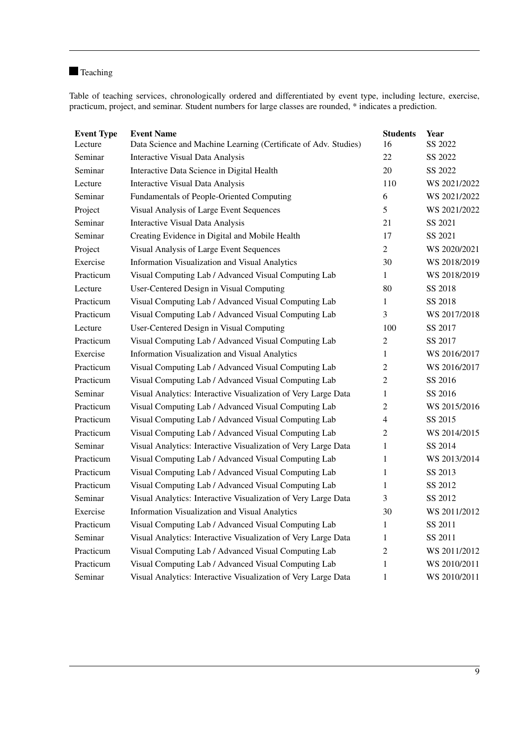### **T**eaching

Table of teaching services, chronologically ordered and differentiated by event type, including lecture, exercise, practicum, project, and seminar. Student numbers for large classes are rounded, \* indicates a prediction.

| <b>Event Type</b><br>Lecture | <b>Event Name</b><br>Data Science and Machine Learning (Certificate of Adv. Studies) | <b>Students</b><br>16 | Year<br>SS 2022 |
|------------------------------|--------------------------------------------------------------------------------------|-----------------------|-----------------|
| Seminar                      | Interactive Visual Data Analysis                                                     | 22                    | SS 2022         |
| Seminar                      | Interactive Data Science in Digital Health                                           | 20                    | SS 2022         |
| Lecture                      | Interactive Visual Data Analysis                                                     | 110                   | WS 2021/2022    |
| Seminar                      | Fundamentals of People-Oriented Computing                                            | 6                     | WS 2021/2022    |
| Project                      | Visual Analysis of Large Event Sequences                                             | 5                     | WS 2021/2022    |
| Seminar                      | <b>Interactive Visual Data Analysis</b>                                              | 21                    | SS 2021         |
| Seminar                      | Creating Evidence in Digital and Mobile Health                                       | 17                    | SS 2021         |
| Project                      | Visual Analysis of Large Event Sequences                                             | $\overline{2}$        | WS 2020/2021    |
| Exercise                     | Information Visualization and Visual Analytics                                       | 30                    | WS 2018/2019    |
| Practicum                    | Visual Computing Lab / Advanced Visual Computing Lab                                 | $\mathbf{1}$          | WS 2018/2019    |
| Lecture                      | User-Centered Design in Visual Computing                                             | 80                    | SS 2018         |
| Practicum                    | Visual Computing Lab / Advanced Visual Computing Lab                                 | 1                     | SS 2018         |
| Practicum                    | Visual Computing Lab / Advanced Visual Computing Lab                                 | 3                     | WS 2017/2018    |
| Lecture                      | User-Centered Design in Visual Computing                                             | 100                   | SS 2017         |
| Practicum                    | Visual Computing Lab / Advanced Visual Computing Lab                                 | $\overline{c}$        | SS 2017         |
| Exercise                     | Information Visualization and Visual Analytics                                       | $\mathbf{1}$          | WS 2016/2017    |
| Practicum                    | Visual Computing Lab / Advanced Visual Computing Lab                                 | $\overline{2}$        | WS 2016/2017    |
| Practicum                    | Visual Computing Lab / Advanced Visual Computing Lab                                 | $\overline{2}$        | SS 2016         |
| Seminar                      | Visual Analytics: Interactive Visualization of Very Large Data                       | 1                     | SS 2016         |
| Practicum                    | Visual Computing Lab / Advanced Visual Computing Lab                                 | $\overline{c}$        | WS 2015/2016    |
| Practicum                    | Visual Computing Lab / Advanced Visual Computing Lab                                 | 4                     | SS 2015         |
| Practicum                    | Visual Computing Lab / Advanced Visual Computing Lab                                 | 2                     | WS 2014/2015    |
| Seminar                      | Visual Analytics: Interactive Visualization of Very Large Data                       | 1                     | SS 2014         |
| Practicum                    | Visual Computing Lab / Advanced Visual Computing Lab                                 | 1                     | WS 2013/2014    |
| Practicum                    | Visual Computing Lab / Advanced Visual Computing Lab                                 | 1                     | SS 2013         |
| Practicum                    | Visual Computing Lab / Advanced Visual Computing Lab                                 | 1                     | SS 2012         |
| Seminar                      | Visual Analytics: Interactive Visualization of Very Large Data                       | 3                     | SS 2012         |
| Exercise                     | Information Visualization and Visual Analytics                                       | 30                    | WS 2011/2012    |
| Practicum                    | Visual Computing Lab / Advanced Visual Computing Lab                                 | 1                     | SS 2011         |
| Seminar                      | Visual Analytics: Interactive Visualization of Very Large Data                       | 1                     | SS 2011         |
| Practicum                    | Visual Computing Lab / Advanced Visual Computing Lab                                 | $\overline{2}$        | WS 2011/2012    |
| Practicum                    | Visual Computing Lab / Advanced Visual Computing Lab                                 | 1                     | WS 2010/2011    |
| Seminar                      | Visual Analytics: Interactive Visualization of Very Large Data                       | $\mathbf{1}$          | WS 2010/2011    |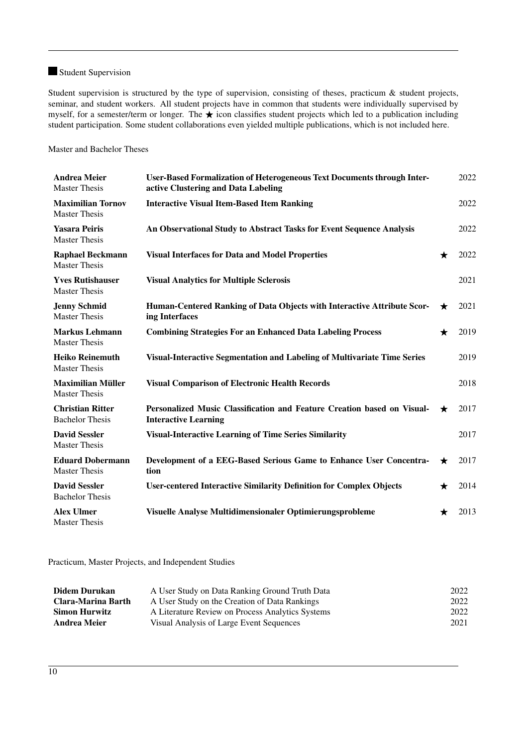### **Student Supervision**

Student supervision is structured by the type of supervision, consisting of theses, practicum & student projects, seminar, and student workers. All student projects have in common that students were individually supervised by myself, for a semester/term or longer. The  $\star$  icon classifies student projects which led to a publication including student participation. Some student collaborations even yielded multiple publications, which is not included here.

Master and Bachelor Theses

| <b>Andrea Meier</b><br><b>Master Thesis</b>       | <b>User-Based Formalization of Heterogeneous Text Documents through Inter-</b><br>active Clustering and Data Labeling |         | 2022 |
|---------------------------------------------------|-----------------------------------------------------------------------------------------------------------------------|---------|------|
| <b>Maximilian Tornov</b><br><b>Master Thesis</b>  | <b>Interactive Visual Item-Based Item Ranking</b>                                                                     |         | 2022 |
| <b>Yasara Peiris</b><br><b>Master Thesis</b>      | An Observational Study to Abstract Tasks for Event Sequence Analysis                                                  |         | 2022 |
| <b>Raphael Beckmann</b><br><b>Master Thesis</b>   | <b>Visual Interfaces for Data and Model Properties</b>                                                                | $\star$ | 2022 |
| <b>Yves Rutishauser</b><br><b>Master Thesis</b>   | <b>Visual Analytics for Multiple Sclerosis</b>                                                                        |         | 2021 |
| <b>Jenny Schmid</b><br><b>Master Thesis</b>       | Human-Centered Ranking of Data Objects with Interactive Attribute Scor-<br>ing Interfaces                             | $\star$ | 2021 |
| <b>Markus Lehmann</b><br><b>Master Thesis</b>     | <b>Combining Strategies For an Enhanced Data Labeling Process</b>                                                     | $\star$ | 2019 |
| <b>Heiko Reinemuth</b><br><b>Master Thesis</b>    | Visual-Interactive Segmentation and Labeling of Multivariate Time Series                                              |         | 2019 |
| <b>Maximilian Müller</b><br><b>Master Thesis</b>  | <b>Visual Comparison of Electronic Health Records</b>                                                                 |         | 2018 |
| <b>Christian Ritter</b><br><b>Bachelor Thesis</b> | Personalized Music Classification and Feature Creation based on Visual-<br><b>Interactive Learning</b>                | $\star$ | 2017 |
| <b>David Sessler</b><br><b>Master Thesis</b>      | <b>Visual-Interactive Learning of Time Series Similarity</b>                                                          |         | 2017 |
| <b>Eduard Dobermann</b><br><b>Master Thesis</b>   | Development of a EEG-Based Serious Game to Enhance User Concentra-<br>tion                                            | $\star$ | 2017 |
| <b>David Sessler</b><br><b>Bachelor Thesis</b>    | <b>User-centered Interactive Similarity Definition for Complex Objects</b>                                            | $\star$ | 2014 |
| <b>Alex Ulmer</b><br><b>Master Thesis</b>         | Visuelle Analyse Multidimensionaler Optimierungsprobleme                                                              | ★       | 2013 |

Practicum, Master Projects, and Independent Studies

| Didem Durukan        | A User Study on Data Ranking Ground Truth Data   | 2022 |
|----------------------|--------------------------------------------------|------|
| Clara-Marina Barth   | A User Study on the Creation of Data Rankings    | 2022 |
| <b>Simon Hurwitz</b> | A Literature Review on Process Analytics Systems | 2022 |
| <b>Andrea Meier</b>  | Visual Analysis of Large Event Sequences         | 2021 |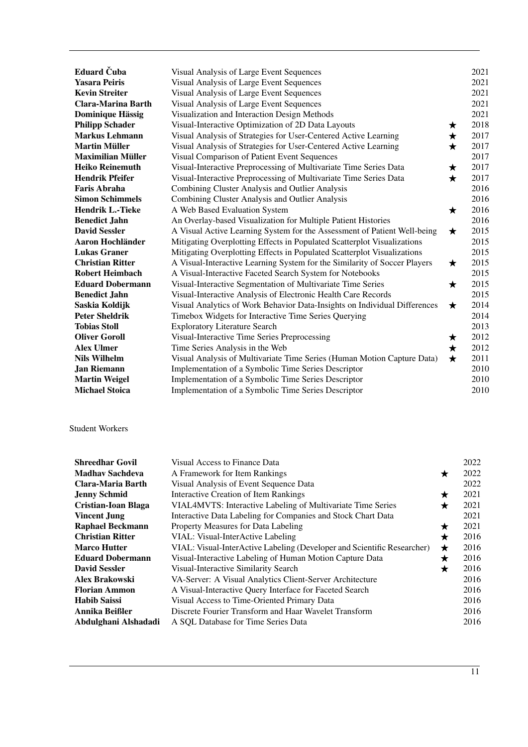| Eduard Čuba             | Visual Analysis of Large Event Sequences                                  |            | 2021 |
|-------------------------|---------------------------------------------------------------------------|------------|------|
| <b>Yasara Peiris</b>    | Visual Analysis of Large Event Sequences                                  |            | 2021 |
| <b>Kevin Streiter</b>   | Visual Analysis of Large Event Sequences                                  |            | 2021 |
| Clara-Marina Barth      | Visual Analysis of Large Event Sequences                                  |            | 2021 |
| <b>Dominique Hässig</b> | Visualization and Interaction Design Methods                              |            | 2021 |
| <b>Philipp Schader</b>  | Visual-Interactive Optimization of 2D Data Layouts                        | ★          | 2018 |
| <b>Markus Lehmann</b>   | Visual Analysis of Strategies for User-Centered Active Learning           | ★          | 2017 |
| <b>Martin Müller</b>    | Visual Analysis of Strategies for User-Centered Active Learning           | $\star$    | 2017 |
| Maximilian Müller       | Visual Comparison of Patient Event Sequences                              |            | 2017 |
| <b>Heiko Reinemuth</b>  | Visual-Interactive Preprocessing of Multivariate Time Series Data         | ★          | 2017 |
| Hendrik Pfeifer         | Visual-Interactive Preprocessing of Multivariate Time Series Data         | $\bigstar$ | 2017 |
| Faris Abraha            | Combining Cluster Analysis and Outlier Analysis                           |            | 2016 |
| <b>Simon Schimmels</b>  | Combining Cluster Analysis and Outlier Analysis                           |            | 2016 |
| Hendrik L.-Tieke        | A Web Based Evaluation System                                             | ★          | 2016 |
| <b>Benedict Jahn</b>    | An Overlay-based Visualization for Multiple Patient Histories             |            | 2016 |
| <b>David Sessler</b>    | A Visual Active Learning System for the Assessment of Patient Well-being  | $\star$    | 2015 |
| <b>Aaron Hochländer</b> | Mitigating Overplotting Effects in Populated Scatterplot Visualizations   |            | 2015 |
| <b>Lukas Graner</b>     | Mitigating Overplotting Effects in Populated Scatterplot Visualizations   |            | 2015 |
| <b>Christian Ritter</b> | A Visual-Interactive Learning System for the Similarity of Soccer Players | $\star$    | 2015 |
| <b>Robert Heimbach</b>  | A Visual-Interactive Faceted Search System for Notebooks                  |            | 2015 |
| <b>Eduard Dobermann</b> | Visual-Interactive Segmentation of Multivariate Time Series               | ★          | 2015 |
| Benedict Jahn           | Visual-Interactive Analysis of Electronic Health Care Records             |            | 2015 |
| Saskia Koldijk          | Visual Analytics of Work Behavior Data-Insights on Individual Differences | $\star$    | 2014 |
| Peter Sheldrik          | Timebox Widgets for Interactive Time Series Querying                      |            | 2014 |
| <b>Tobias Stoll</b>     | <b>Exploratory Literature Search</b>                                      |            | 2013 |
| <b>Oliver Goroll</b>    | Visual-Interactive Time Series Preprocessing                              | ★          | 2012 |
| <b>Alex Ulmer</b>       | Time Series Analysis in the Web                                           | $\star$    | 2012 |
| Nils Wilhelm            | Visual Analysis of Multivariate Time Series (Human Motion Capture Data)   | $\star$    | 2011 |
| <b>Jan Riemann</b>      | Implementation of a Symbolic Time Series Descriptor                       |            | 2010 |
| <b>Martin Weigel</b>    | Implementation of a Symbolic Time Series Descriptor                       |            | 2010 |
| Michael Stoica          | Implementation of a Symbolic Time Series Descriptor                       |            | 2010 |

### Student Workers

| Shreedhar Govil                                  | Visual Access to Finance Data                                           |         | 2022 |
|--------------------------------------------------|-------------------------------------------------------------------------|---------|------|
| Madhav Sachdeva<br>A Framework for Item Rankings |                                                                         | $\star$ | 2022 |
| Clara-Maria Barth                                | Visual Analysis of Event Sequence Data                                  |         | 2022 |
| Jenny Schmid                                     | Interactive Creation of Item Rankings                                   | $\star$ | 2021 |
| Cristian-Ioan Blaga                              | VIAL4MVTS: Interactive Labeling of Multivariate Time Series             | ★       | 2021 |
| Vincent Jung                                     | Interactive Data Labeling for Companies and Stock Chart Data            |         | 2021 |
| <b>Raphael Beckmann</b>                          | Property Measures for Data Labeling                                     | ★       | 2021 |
| <b>Christian Ritter</b>                          | VIAL: Visual-InterActive Labeling                                       | ★       | 2016 |
| <b>Marco Hutter</b>                              | VIAL: Visual-InterActive Labeling (Developer and Scientific Researcher) | $\star$ | 2016 |
| <b>Eduard Dobermann</b>                          | Visual-Interactive Labeling of Human Motion Capture Data                | ★       | 2016 |
| <b>David Sessler</b>                             | Visual-Interactive Similarity Search                                    | $\star$ | 2016 |
| Alex Brakowski                                   | VA-Server: A Visual Analytics Client-Server Architecture                |         | 2016 |
| Florian Ammon                                    | A Visual-Interactive Query Interface for Faceted Search                 |         | 2016 |
| <b>Habib Saissi</b>                              | Visual Access to Time-Oriented Primary Data                             |         | 2016 |
| Annika Beißler                                   | Discrete Fourier Transform and Haar Wavelet Transform                   |         | 2016 |
| Abdulghani Alshadadi                             | A SQL Database for Time Series Data                                     |         | 2016 |
|                                                  |                                                                         |         |      |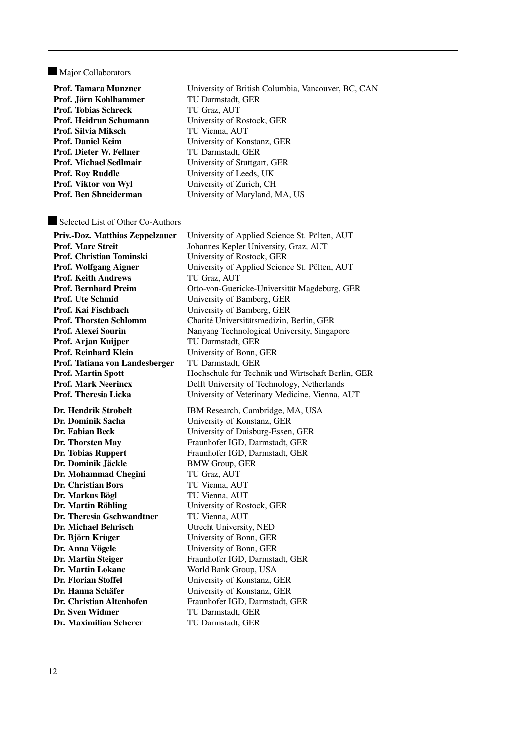#### Major Collaborators

| Prof. Tamara Munzner    | University of British Columbia, Vancouver, BC, CAN |
|-------------------------|----------------------------------------------------|
| Prof. Jörn Kohlhammer   | TU Darmstadt, GER                                  |
| Prof. Tobias Schreck    | TU Graz, AUT                                       |
| Prof. Heidrun Schumann  | University of Rostock, GER                         |
| Prof. Silvia Miksch     | TU Vienna, AUT                                     |
| Prof. Daniel Keim       | University of Konstanz, GER                        |
| Prof. Dieter W. Fellner | TU Darmstadt, GER                                  |
| Prof. Michael Sedlmair  | University of Stuttgart, GER                       |
| Prof. Roy Ruddle        | University of Leeds, UK                            |
| Prof. Viktor von Wyl    | University of Zurich, CH                           |
| Prof. Ben Shneiderman   | University of Maryland, MA, US                     |
|                         |                                                    |

#### Selected List of Other Co-Authors

Priv.-Doz. Matthias Zeppelzauer University of Applied Science St. Pölten, AUT Prof. Marc Streit Johannes Kepler University, Graz, AUT Prof. Christian Tominski<br>
University of Rostock, GER Prof. Wolfgang Aigner University of Applied Science St. Pölten, AUT Prof. Keith Andrews TU Graz, AUT Prof. Bernhard Preim Otto-von-Guericke-Universität Magdeburg, GER Prof. Ute Schmid University of Bamberg, GER Prof. Kai Fischbach University of Bamberg, GER Prof. Thorsten Schlomm Charité Universitätsmedizin, Berlin, GER Prof. Alexei Sourin Nanyang Technological University, Singapore Prof. Arjan Kuijper TU Darmstadt, GER Prof. Reinhard Klein University of Bonn, GER Prof. Tatiana von Landesberger TU Darmstadt, GER Prof. Martin Spott Hochschule für Technik und Wirtschaft Berlin, GER Prof. Mark Neerincx Delft University of Technology, Netherlands Prof. Theresia Licka University of Veterinary Medicine, Vienna, AUT Dr. Hendrik Strobelt IBM Research, Cambridge, MA, USA Dr. Dominik Sacha University of Konstanz, GER Dr. Fabian Beck University of Duisburg-Essen, GER Dr. Thorsten May Fraunhofer IGD, Darmstadt, GER Dr. Tobias Ruppert Fraunhofer IGD, Darmstadt, GER Dr. Dominik Jäckle BMW Group, GER Dr. Mohammad Chegini TU Graz, AUT Dr. Christian Bors TU Vienna, AUT Dr. Markus Bögl TU Vienna, AUT Dr. Martin Röhling University of Rostock, GER Dr. Theresia Gschwandtner TU Vienna, AUT Dr. Michael Behrisch Utrecht University, NED Dr. Björn Krüger University of Bonn, GER Dr. Anna Vögele University of Bonn, GER Dr. Martin Steiger Fraunhofer IGD, Darmstadt, GER Dr. Martin Lokanc World Bank Group, USA Dr. Florian Stoffel University of Konstanz, GER Dr. Hanna Schäfer University of Konstanz, GER Dr. Christian Altenhofen Fraunhofer IGD, Darmstadt, GER Dr. Sven Widmer TU Darmstadt, GER Dr. Maximilian Scherer TU Darmstadt, GER